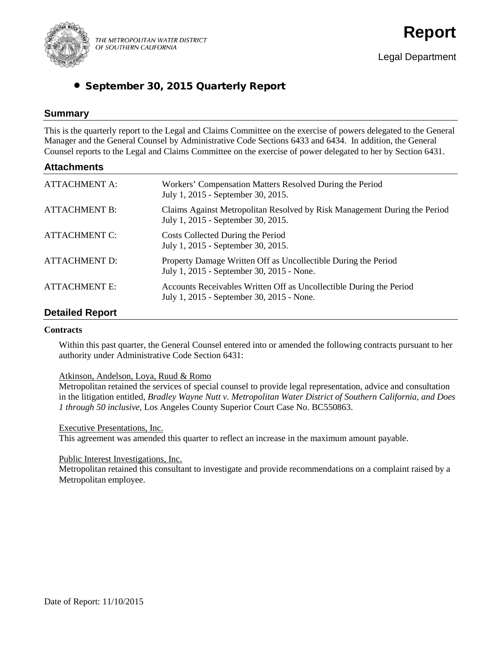

THE METROPOLITAN WATER DISTRICT OF SOUTHERN CALIFORNIA

# • September 30, 2015 Quarterly Report

## **Summary**

This is the quarterly report to the Legal and Claims Committee on the exercise of powers delegated to the General Manager and the General Counsel by Administrative Code Sections 6433 and 6434. In addition, the General Counsel reports to the Legal and Claims Committee on the exercise of power delegated to her by Section 6431.

## **Attachments**

| <b>ATTACHMENT A:</b> | Workers' Compensation Matters Resolved During the Period<br>July 1, 2015 - September 30, 2015.                   |
|----------------------|------------------------------------------------------------------------------------------------------------------|
| <b>ATTACHMENT B:</b> | Claims Against Metropolitan Resolved by Risk Management During the Period<br>July 1, 2015 - September 30, 2015.  |
| <b>ATTACHMENT C:</b> | Costs Collected During the Period<br>July 1, 2015 - September 30, 2015.                                          |
| <b>ATTACHMENT D:</b> | Property Damage Written Off as Uncollectible During the Period<br>July 1, 2015 - September 30, 2015 - None.      |
| <b>ATTACHMENT E:</b> | Accounts Receivables Written Off as Uncollectible During the Period<br>July 1, 2015 - September 30, 2015 - None. |

## **Detailed Report**

#### **Contracts**

Within this past quarter, the General Counsel entered into or amended the following contracts pursuant to her authority under Administrative Code Section 6431:

Atkinson, Andelson, Loya, Ruud & Romo

Metropolitan retained the services of special counsel to provide legal representation, advice and consultation in the litigation entitled, *Bradley Wayne Nutt v. Metropolitan Water District of Southern California, and Does 1 through 50 inclusive,* Los Angeles County Superior Court Case No. BC550863.

#### Executive Presentations, Inc.

This agreement was amended this quarter to reflect an increase in the maximum amount payable.

#### Public Interest Investigations, Inc.

Metropolitan retained this consultant to investigate and provide recommendations on a complaint raised by a Metropolitan employee.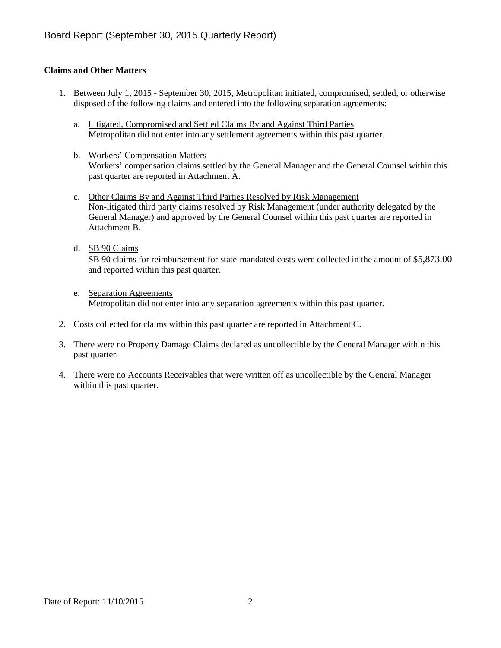## **Claims and Other Matters**

- 1. Between July 1, 2015 September 30, 2015, Metropolitan initiated, compromised, settled, or otherwise disposed of the following claims and entered into the following separation agreements:
	- a. Litigated, Compromised and Settled Claims By and Against Third Parties Metropolitan did not enter into any settlement agreements within this past quarter.
	- b. Workers' Compensation Matters Workers' compensation claims settled by the General Manager and the General Counsel within this past quarter are reported in Attachment A.
	- c. Other Claims By and Against Third Parties Resolved by Risk Management Non-litigated third party claims resolved by Risk Management (under authority delegated by the General Manager) and approved by the General Counsel within this past quarter are reported in Attachment B.
	- d. SB 90 Claims

SB 90 claims for reimbursement for state-mandated costs were collected in the amount of \$5,873.00 and reported within this past quarter.

- e. Separation Agreements Metropolitan did not enter into any separation agreements within this past quarter.
- 2. Costs collected for claims within this past quarter are reported in Attachment C.
- 3. There were no Property Damage Claims declared as uncollectible by the General Manager within this past quarter.
- 4. There were no Accounts Receivables that were written off as uncollectible by the General Manager within this past quarter.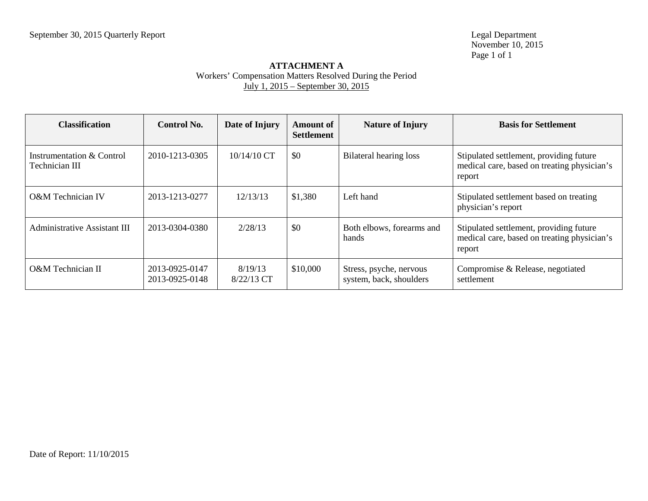Legal Department<br>November 10, 2015 Page 1 of 1

## **ATTACHMENT A** Workers' Compensation Matters Resolved During the Period July 1, 2015 – September 30, 2015

| <b>Classification</b>                       | <b>Control No.</b>               | Date of Injury        | <b>Amount of</b><br><b>Settlement</b> | <b>Nature of Injury</b>                            | <b>Basis for Settlement</b>                                                                      |
|---------------------------------------------|----------------------------------|-----------------------|---------------------------------------|----------------------------------------------------|--------------------------------------------------------------------------------------------------|
| Instrumentation & Control<br>Technician III | 2010-1213-0305                   | $10/14/10$ CT         | \$0                                   | Bilateral hearing loss                             | Stipulated settlement, providing future<br>medical care, based on treating physician's<br>report |
| O&M Technician IV                           | 2013-1213-0277                   | 12/13/13              | \$1,380                               | Left hand                                          | Stipulated settlement based on treating<br>physician's report                                    |
| <b>Administrative Assistant III</b>         | 2013-0304-0380                   | 2/28/13               | \$0                                   | Both elbows, forearms and<br>hands                 | Stipulated settlement, providing future<br>medical care, based on treating physician's<br>report |
| O&M Technician II                           | 2013-0925-0147<br>2013-0925-0148 | 8/19/13<br>8/22/13 CT | \$10,000                              | Stress, psyche, nervous<br>system, back, shoulders | Compromise & Release, negotiated<br>settlement                                                   |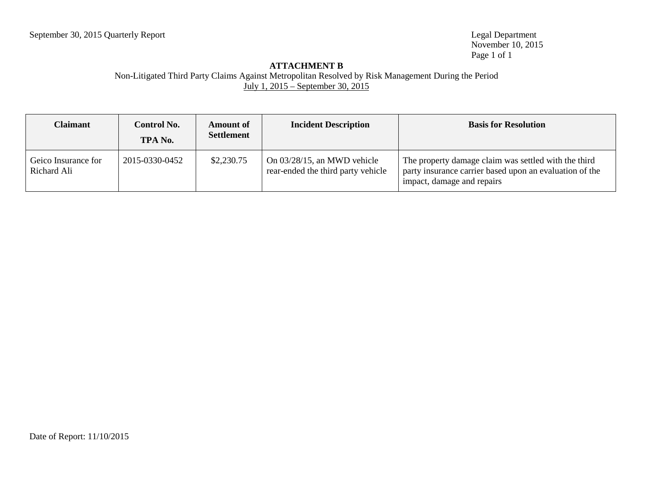November 10, 2015 Page 1 of 1

## **ATTACHMENT B**

Non-Litigated Third Party Claims Against Metropolitan Resolved by Risk Management During the Period July 1, 2015 – September 30, 2015

| <b>Claimant</b>                    | <b>Control No.</b><br>TPA No. | <b>Amount of</b><br><b>Settlement</b> | <b>Incident Description</b>                                          | <b>Basis for Resolution</b>                                                                                                                   |
|------------------------------------|-------------------------------|---------------------------------------|----------------------------------------------------------------------|-----------------------------------------------------------------------------------------------------------------------------------------------|
| Geico Insurance for<br>Richard Ali | 2015-0330-0452                | \$2,230.75                            | On $03/28/15$ , an MWD vehicle<br>rear-ended the third party vehicle | The property damage claim was settled with the third<br>party insurance carrier based upon an evaluation of the<br>impact, damage and repairs |

Date of Report: 11/10/2015